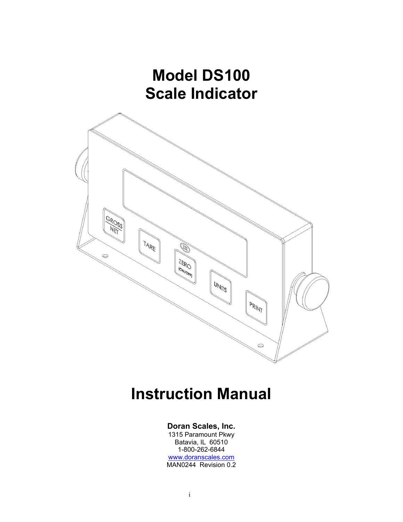

# **Instruction Manual**

### **Doran Scales, Inc.**

1315 Paramount Pkwy Batavia, IL 60510 1-800-262-6844 www.doranscales.com MAN0244 Revision 0.2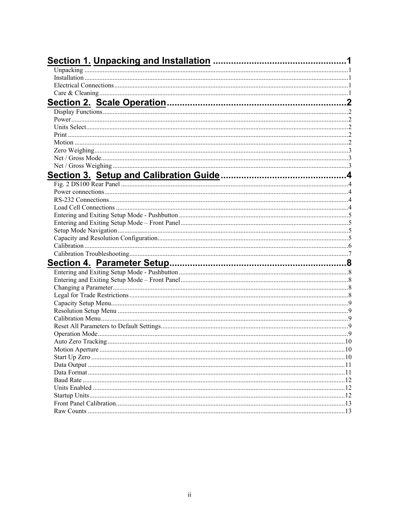| $\sim$ 10 |     |
|-----------|-----|
|           |     |
|           |     |
|           |     |
|           | 12  |
|           | 12  |
|           | 12  |
|           | .13 |
|           | .13 |
|           |     |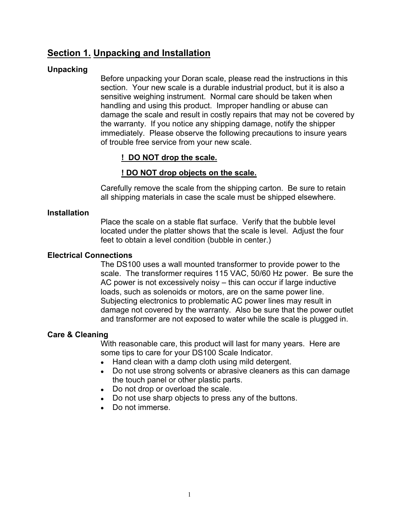# **Section 1. Unpacking and Installation**

### **Unpacking**

Before unpacking your Doran scale, please read the instructions in this section. Your new scale is a durable industrial product, but it is also a sensitive weighing instrument. Normal care should be taken when handling and using this product. Improper handling or abuse can damage the scale and result in costly repairs that may not be covered by the warranty. If you notice any shipping damage, notify the shipper immediately. Please observe the following precautions to insure years of trouble free service from your new scale.

### **! DO NOT drop the scale.**

### **! DO NOT drop objects on the scale.**

Carefully remove the scale from the shipping carton. Be sure to retain all shipping materials in case the scale must be shipped elsewhere.

### **Installation**

Place the scale on a stable flat surface. Verify that the bubble level located under the platter shows that the scale is level. Adjust the four feet to obtain a level condition (bubble in center.)

### **Electrical Connections**

The DS100 uses a wall mounted transformer to provide power to the scale. The transformer requires 115 VAC, 50/60 Hz power. Be sure the AC power is not excessively noisy – this can occur if large inductive loads, such as solenoids or motors, are on the same power line. Subjecting electronics to problematic AC power lines may result in damage not covered by the warranty. Also be sure that the power outlet and transformer are not exposed to water while the scale is plugged in.

### **Care & Cleaning**

With reasonable care, this product will last for many years. Here are some tips to care for your DS100 Scale Indicator.

- Hand clean with a damp cloth using mild detergent.
- Do not use strong solvents or abrasive cleaners as this can damage the touch panel or other plastic parts.
- Do not drop or overload the scale.
- Do not use sharp objects to press any of the buttons.
- Do not immerse.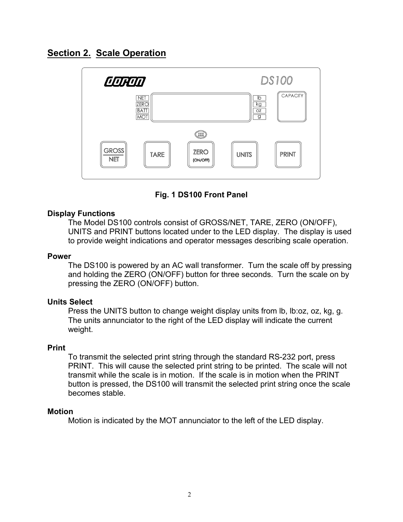# **Section 2. Scale Operation**



**Fig. 1 DS100 Front Panel** 

### **Display Functions**

The Model DS100 controls consist of GROSS/NET, TARE, ZERO (ON/OFF), UNITS and PRINT buttons located under to the LED display. The display is used to provide weight indications and operator messages describing scale operation.

#### **Power**

The DS100 is powered by an AC wall transformer. Turn the scale off by pressing and holding the ZERO (ON/OFF) button for three seconds. Turn the scale on by pressing the ZERO (ON/OFF) button.

#### **Units Select**

Press the UNITS button to change weight display units from lb, lb:oz, oz, kg, g. The units annunciator to the right of the LED display will indicate the current weight.

#### **Print**

To transmit the selected print string through the standard RS-232 port, press PRINT. This will cause the selected print string to be printed. The scale will not transmit while the scale is in motion. If the scale is in motion when the PRINT button is pressed, the DS100 will transmit the selected print string once the scale becomes stable.

#### **Motion**

Motion is indicated by the MOT annunciator to the left of the LED display.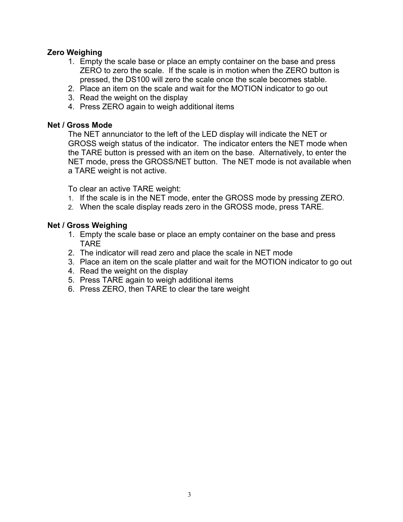### **Zero Weighing**

- 1. Empty the scale base or place an empty container on the base and press ZERO to zero the scale. If the scale is in motion when the ZERO button is pressed, the DS100 will zero the scale once the scale becomes stable.
- 2. Place an item on the scale and wait for the MOTION indicator to go out
- 3. Read the weight on the display
- 4. Press ZERO again to weigh additional items

### **Net / Gross Mode**

The NET annunciator to the left of the LED display will indicate the NET or GROSS weigh status of the indicator. The indicator enters the NET mode when the TARE button is pressed with an item on the base. Alternatively, to enter the NET mode, press the GROSS/NET button. The NET mode is not available when a TARE weight is not active.

To clear an active TARE weight:

- 1. If the scale is in the NET mode, enter the GROSS mode by pressing ZERO.
- 2. When the scale display reads zero in the GROSS mode, press TARE.

### **Net / Gross Weighing**

- 1. Empty the scale base or place an empty container on the base and press TARE
- 2. The indicator will read zero and place the scale in NET mode
- 3. Place an item on the scale platter and wait for the MOTION indicator to go out
- 4. Read the weight on the display
- 5. Press TARE again to weigh additional items
- 6. Press ZERO, then TARE to clear the tare weight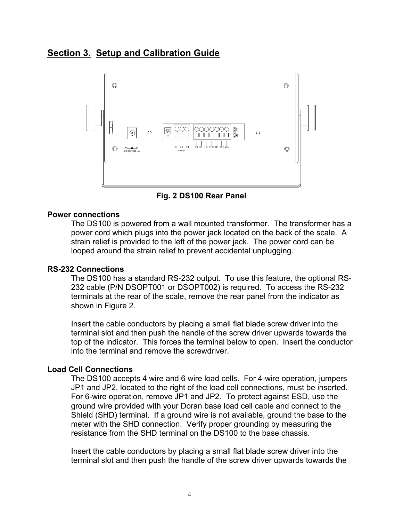# **Section 3. Setup and Calibration Guide**



**Fig. 2 DS100 Rear Panel** 

#### **Power connections**

The DS100 is powered from a wall mounted transformer. The transformer has a power cord which plugs into the power jack located on the back of the scale. A strain relief is provided to the left of the power jack. The power cord can be looped around the strain relief to prevent accidental unplugging.

### **RS-232 Connections**

The DS100 has a standard RS-232 output. To use this feature, the optional RS-232 cable (P/N DSOPT001 or DSOPT002) is required. To access the RS-232 terminals at the rear of the scale, remove the rear panel from the indicator as shown in Figure 2.

Insert the cable conductors by placing a small flat blade screw driver into the terminal slot and then push the handle of the screw driver upwards towards the top of the indicator. This forces the terminal below to open. Insert the conductor into the terminal and remove the screwdriver.

#### **Load Cell Connections**

The DS100 accepts 4 wire and 6 wire load cells. For 4-wire operation, jumpers JP1 and JP2, located to the right of the load cell connections, must be inserted. For 6-wire operation, remove JP1 and JP2. To protect against ESD, use the ground wire provided with your Doran base load cell cable and connect to the Shield (SHD) terminal. If a ground wire is not available, ground the base to the meter with the SHD connection. Verify proper grounding by measuring the resistance from the SHD terminal on the DS100 to the base chassis.

Insert the cable conductors by placing a small flat blade screw driver into the terminal slot and then push the handle of the screw driver upwards towards the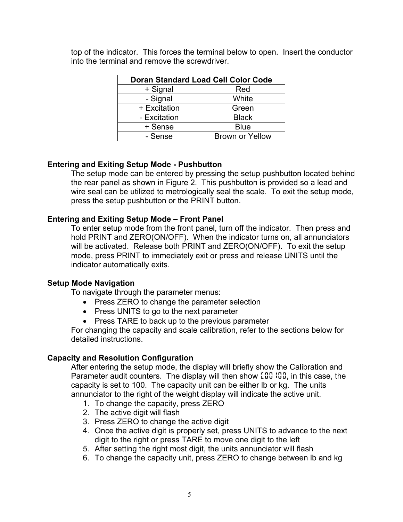| <b>Doran Standard Load Cell Color Code</b> |                        |
|--------------------------------------------|------------------------|
| + Signal                                   | Red                    |
| - Signal                                   | White                  |
| + Excitation                               | Green                  |
| - Excitation                               | <b>Black</b>           |
| + Sense                                    | <b>Blue</b>            |
| - Sense                                    | <b>Brown or Yellow</b> |

top of the indicator. This forces the terminal below to open. Insert the conductor into the terminal and remove the screwdriver.

### **Entering and Exiting Setup Mode - Pushbutton**

The setup mode can be entered by pressing the setup pushbutton located behind the rear panel as shown in Figure 2. This pushbutton is provided so a lead and wire seal can be utilized to metrologically seal the scale. To exit the setup mode, press the setup pushbutton or the PRINT button.

### **Entering and Exiting Setup Mode – Front Panel**

To enter setup mode from the front panel, turn off the indicator. Then press and hold PRINT and ZERO(ON/OFF). When the indicator turns on, all annunciators will be activated. Release both PRINT and ZERO(ON/OFF). To exit the setup mode, press PRINT to immediately exit or press and release UNITS until the indicator automatically exits.

#### **Setup Mode Navigation**

To navigate through the parameter menus:

- Press ZERO to change the parameter selection
- Press UNITS to go to the next parameter
- Press TARE to back up to the previous parameter

For changing the capacity and scale calibration, refer to the sections below for detailed instructions.

### **Capacity and Resolution Configuration**

After entering the setup mode, the display will briefly show the Calibration and Parameter audit counters. The display will then show *C00100*, in this case, the capacity is set to 100. The capacity unit can be either lb or kg. The units annunciator to the right of the weight display will indicate the active unit.

- 1. To change the capacity, press ZERO
- 2. The active digit will flash
- 3. Press ZERO to change the active digit
- 4. Once the active digit is properly set, press UNITS to advance to the next digit to the right or press TARE to move one digit to the left
- 5. After setting the right most digit, the units annunciator will flash
- 6. To change the capacity unit, press ZERO to change between lb and kg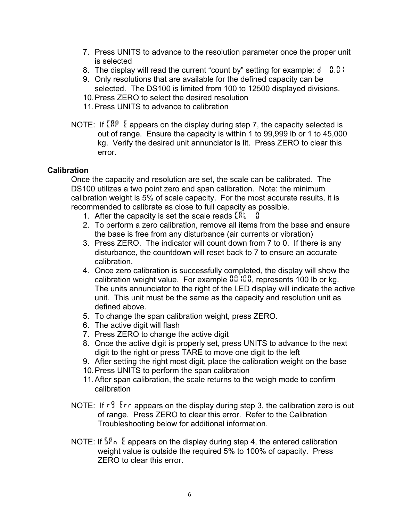- 7. Press UNITS to advance to the resolution parameter once the proper unit is selected
- 8. The display will read the current "count by" setting for example: *d 0.01*
- 9. Only resolutions that are available for the defined capacity can be selected. The DS100 is limited from 100 to 12500 displayed divisions.
- 10. Press ZERO to select the desired resolution
- 11. Press UNITS to advance to calibration
- NOTE: If *CAP E* appears on the display during step 7, the capacity selected is out of range. Ensure the capacity is within 1 to 99,999 lb or 1 to 45,000 kg. Verify the desired unit annunciator is lit. Press ZERO to clear this error.

### **Calibration**

Once the capacity and resolution are set, the scale can be calibrated. The DS100 utilizes a two point zero and span calibration. Note: the minimum calibration weight is 5% of scale capacity. For the most accurate results, it is recommended to calibrate as close to full capacity as possible.

- 1. After the capacity is set the scale reads *CAL 0*
- 2. To perform a zero calibration, remove all items from the base and ensure the base is free from any disturbance (air currents or vibration)
- 3. Press ZERO. The indicator will count down from 7 to 0. If there is any disturbance, the countdown will reset back to 7 to ensure an accurate calibration.
- 4. Once zero calibration is successfully completed, the display will show the calibration weight value. For example **00**.000, represents 100 lb or kg. The units annunciator to the right of the LED display will indicate the active unit. This unit must be the same as the capacity and resolution unit as defined above.
- 5. To change the span calibration weight, press ZERO.
- 6. The active digit will flash
- 7. Press ZERO to change the active digit
- 8. Once the active digit is properly set, press UNITS to advance to the next digit to the right or press TARE to move one digit to the left
- 9. After setting the right most digit, place the calibration weight on the base
- 10. Press UNITS to perform the span calibration
- 11. After span calibration, the scale returns to the weigh mode to confirm calibration
- NOTE: If *rG Err* appears on the display during step 3, the calibration zero is out of range. Press ZERO to clear this error. Refer to the Calibration Troubleshooting below for additional information.
- NOTE: If *SPn E* appears on the display during step 4, the entered calibration weight value is outside the required 5% to 100% of capacity. Press ZERO to clear this error.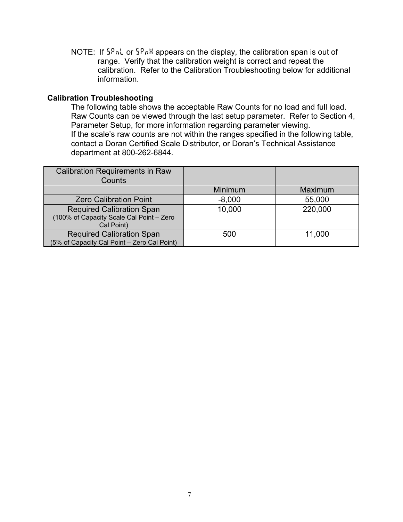NOTE: If *SPnL* or *SPnH* appears on the display, the calibration span is out of range. Verify that the calibration weight is correct and repeat the calibration. Refer to the Calibration Troubleshooting below for additional information.

#### **Calibration Troubleshooting**

The following table shows the acceptable Raw Counts for no load and full load. Raw Counts can be viewed through the last setup parameter. Refer to Section 4, Parameter Setup, for more information regarding parameter viewing. If the scale's raw counts are not within the ranges specified in the following table, contact a Doran Certified Scale Distributor, or Doran's Technical Assistance department at 800-262-6844.

| <b>Calibration Requirements in Raw</b><br>Counts                                           |                |         |
|--------------------------------------------------------------------------------------------|----------------|---------|
|                                                                                            | <b>Minimum</b> | Maximum |
| <b>Zero Calibration Point</b>                                                              | $-8,000$       | 55,000  |
| <b>Required Calibration Span</b><br>(100% of Capacity Scale Cal Point - Zero<br>Cal Point) | 10,000         | 220,000 |
| <b>Required Calibration Span</b><br>(5% of Capacity Cal Point - Zero Cal Point)            | 500            | 11,000  |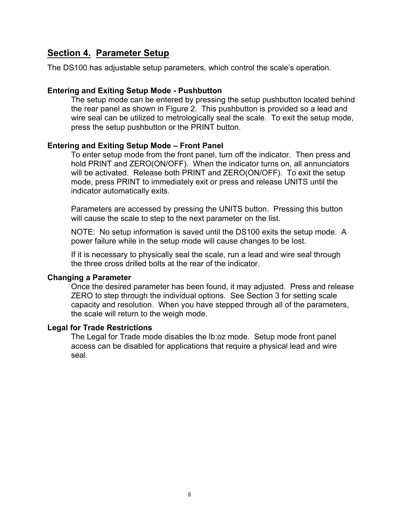# **Section 4. Parameter Setup**

The DS100 has adjustable setup parameters, which control the scale's operation.

#### **Entering and Exiting Setup Mode - Pushbutton**

The setup mode can be entered by pressing the setup pushbutton located behind the rear panel as shown in Figure 2. This pushbutton is provided so a lead and wire seal can be utilized to metrologically seal the scale. To exit the setup mode, press the setup pushbutton or the PRINT button.

#### **Entering and Exiting Setup Mode – Front Panel**

To enter setup mode from the front panel, turn off the indicator. Then press and hold PRINT and ZERO(ON/OFF). When the indicator turns on, all annunciators will be activated. Release both PRINT and ZERO(ON/OFF). To exit the setup mode, press PRINT to immediately exit or press and release UNITS until the indicator automatically exits.

Parameters are accessed by pressing the UNITS button. Pressing this button will cause the scale to step to the next parameter on the list.

NOTE: No setup information is saved until the DS100 exits the setup mode. A power failure while in the setup mode will cause changes to be lost.

If it is necessary to physically seal the scale, run a lead and wire seal through the three cross drilled bolts at the rear of the indicator.

#### **Changing a Parameter**

Once the desired parameter has been found, it may adjusted. Press and release ZERO to step through the individual options. See Section 3 for setting scale capacity and resolution. When you have stepped through all of the parameters, the scale will return to the weigh mode.

#### **Legal for Trade Restrictions**

The Legal for Trade mode disables the lb:oz mode. Setup mode front panel access can be disabled for applications that require a physical lead and wire seal.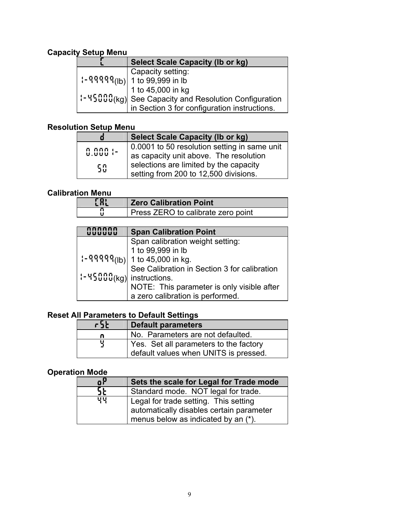# **Capacity Setup Menu**

| <b>Select Scale Capacity (Ib or kg)</b>                                                |
|----------------------------------------------------------------------------------------|
| Capacity setting:                                                                      |
|                                                                                        |
| 1 to 45,000 in kg                                                                      |
| $\left 1-\frac{1}{2}\sqrt{2}\sqrt{2}\right $ See Capacity and Resolution Configuration |
| in Section 3 for configuration instructions.                                           |

### **Resolution Setup Menu**

|                      | <b>Select Scale Capacity (Ib or kg)</b>                                                |
|----------------------|----------------------------------------------------------------------------------------|
| ក ភកក :-<br>ម.មមម :- | 0.0001 to 50 resolution setting in same unit<br>as capacity unit above. The resolution |
| 50                   | selections are limited by the capacity<br>setting from 200 to 12,500 divisions.        |

### **Calibration Menu**

| C Al | <b>Zero Calibration Point</b>      |
|------|------------------------------------|
|      | Press ZERO to calibrate zero point |

|                                                                                                                                                                     | <b>Span Calibration Point</b>                |
|---------------------------------------------------------------------------------------------------------------------------------------------------------------------|----------------------------------------------|
|                                                                                                                                                                     | Span calibration weight setting:             |
|                                                                                                                                                                     | 1 to 99,999 in lb                            |
|                                                                                                                                                                     | $[-9999(16)]$ 1 to 45,000 in kg.             |
|                                                                                                                                                                     | See Calibration in Section 3 for calibration |
| $\left  \cdot \right $ + $\left  \cdot \right $ + $\left  \cdot \right $ + $\left  \cdot \right $ + $\left  \cdot \right $ and $\left  \cdot \right $ instructions. |                                              |
|                                                                                                                                                                     | NOTE: This parameter is only visible after   |
|                                                                                                                                                                     | a zero calibration is performed.             |

### **Reset All Parameters to Default Settings**

| r5t | <b>Default parameters</b>                                                       |
|-----|---------------------------------------------------------------------------------|
| n   | No. Parameters are not defaulted.                                               |
| 뷕   | Yes. Set all parameters to the factory<br>default values when UNITS is pressed. |

# **Operation Mode**

| oΡ | Sets the scale for Legal for Trade mode                                                                                  |
|----|--------------------------------------------------------------------------------------------------------------------------|
| SŁ | Standard mode. NOT legal for trade.                                                                                      |
| 벽복 | Legal for trade setting. This setting<br>automatically disables certain parameter<br>menus below as indicated by an (*). |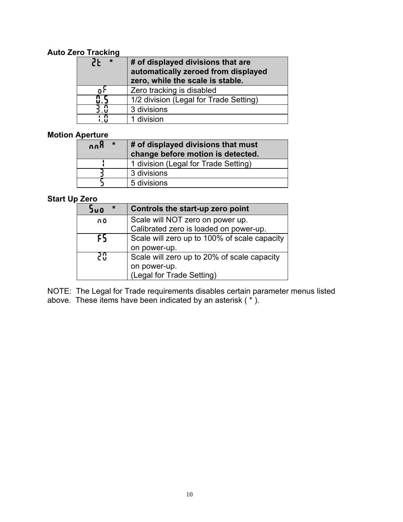### **Auto Zero Tracking**

| 25<br>*        | # of displayed divisions that are<br>automatically zeroed from displayed<br>zero, while the scale is stable. |
|----------------|--------------------------------------------------------------------------------------------------------------|
| ñί             | Zero tracking is disabled                                                                                    |
|                | 1/2 division (Legal for Trade Setting)                                                                       |
| $\overline{3}$ | 3 divisions                                                                                                  |
| ιñ             | 1 division                                                                                                   |

### **Motion Aperture**

| $\star$<br>កក្ដុ | # of displayed divisions that must<br>change before motion is detected. |
|------------------|-------------------------------------------------------------------------|
|                  | 1 division (Legal for Trade Setting)                                    |
|                  | 3 divisions                                                             |
|                  | 5 divisions                                                             |

# **Start Up Zero**

| ∗<br>JuO | Controls the start-up zero point             |
|----------|----------------------------------------------|
| កប៊      | Scale will NOT zero on power up.             |
|          | Calibrated zero is loaded on power-up.       |
| ւե       | Scale will zero up to 100% of scale capacity |
|          | on power-up.                                 |
| 20       | Scale will zero up to 20% of scale capacity  |
|          | on power-up.                                 |
|          | (Legal for Trade Setting)                    |

NOTE: The Legal for Trade requirements disables certain parameter menus listed above. These items have been indicated by an asterisk ( \* ).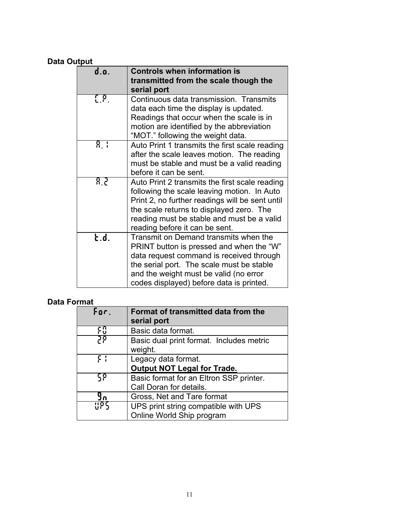# **Data Output**

| d.o.                     | <b>Controls when information is</b><br>transmitted from the scale though the |
|--------------------------|------------------------------------------------------------------------------|
|                          | serial port                                                                  |
| $\mathbb{C}[\mathbb{P}]$ | Continuous data transmission. Transmits                                      |
|                          | data each time the display is updated.                                       |
|                          | Readings that occur when the scale is in                                     |
|                          | motion are identified by the abbreviation                                    |
|                          | "MOT." following the weight data.                                            |
| 8. I                     | Auto Print 1 transmits the first scale reading                               |
|                          | after the scale leaves motion. The reading                                   |
|                          | must be stable and must be a valid reading                                   |
|                          | before it can be sent.                                                       |
| 8 P                      | Auto Print 2 transmits the first scale reading                               |
|                          | following the scale leaving motion. In Auto                                  |
|                          | Print 2, no further readings will be sent until                              |
|                          | the scale returns to displayed zero. The                                     |
|                          | reading must be stable and must be a valid                                   |
|                          | reading before it can be sent.                                               |
| է.ժ.                     | Transmit on Demand transmits when the                                        |
|                          | PRINT button is pressed and when the "W"                                     |
|                          | data request command is received through                                     |
|                          | the serial port. The scale must be stable                                    |
|                          | and the weight must be valid (no error                                       |
|                          | codes displayed) before data is printed.                                     |
|                          |                                                                              |

# **Data Format**

| For. | Format of transmitted data from the<br>serial port  |
|------|-----------------------------------------------------|
|      | Basic data format.                                  |
| קק   | Basic dual print format. Includes metric<br>weight. |
| : ۶  | Legacy data format.                                 |
|      | <b>Output NOT Legal for Trade.</b>                  |
| ٢P   | Basic format for an Eltron SSP printer.             |
|      | Call Doran for details.                             |
|      | Gross, Net and Tare format                          |
|      | UPS print string compatible with UPS                |
|      | Online World Ship program                           |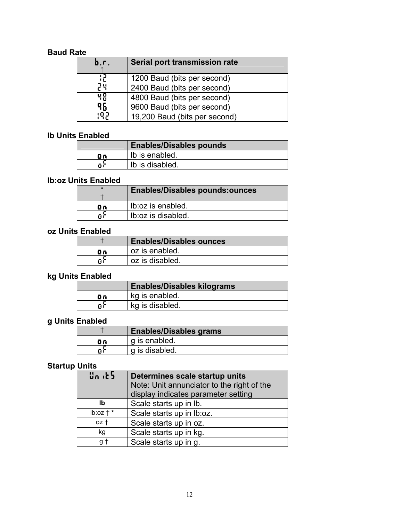### **Baud Rate**

| b.r.  | Serial port transmission rate |
|-------|-------------------------------|
|       | 1200 Baud (bits per second)   |
| Ρų    | 2400 Baud (bits per second)   |
| पृष्ठ | 4800 Baud (bits per second)   |
| 36    | 9600 Baud (bits per second)   |
| ាហ៊ុង | 19,200 Baud (bits per second) |

### **lb Units Enabled**

|     | <b>Enables/Disables pounds</b> |
|-----|--------------------------------|
| ūn. | Ib is enabled.                 |
|     | Ib is disabled.                |

### **lb:oz Units Enabled**

| $\ast$ | <b>Enables/Disables pounds:ounces</b> |
|--------|---------------------------------------|
| Θn     | Ib: oz is enabled.                    |
| пì     | Ib:oz is disabled.                    |

# **oz Units Enabled**

|     | <b>Enables/Disables ounces</b> |
|-----|--------------------------------|
| ūη, | oz is enabled.                 |
|     | oz is disabled.                |

# **kg Units Enabled**

|    | <b>Enables/Disables kilograms</b> |
|----|-----------------------------------|
| Οn | kg is enabled.                    |
|    | kg is disabled.                   |

# **g Units Enabled**

|    | <b>Enables/Disables grams</b> |
|----|-------------------------------|
| ūΛ | g is enabled.                 |
|    | g is disabled.                |

### **Startup Units**

| Սո⊣Է5       | Determines scale startup units             |
|-------------|--------------------------------------------|
|             | Note: Unit annunciator to the right of the |
|             | display indicates parameter setting        |
| Ib          | Scale starts up in lb.                     |
| $lb:oz + *$ | Scale starts up in lb:oz.                  |
| oz t        | Scale starts up in oz.                     |
| kg          | Scale starts up in kg.                     |
| g t         | Scale starts up in g.                      |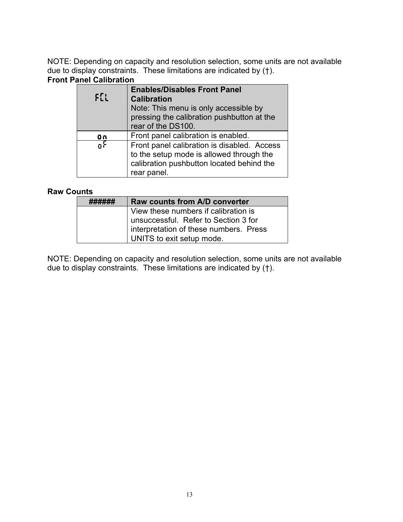NOTE: Depending on capacity and resolution selection, some units are not available due to display constraints. These limitations are indicated by (†).

### **Front Panel Calibration**

| $E_{LL}$ | <b>Enables/Disables Front Panel</b><br><b>Calibration</b><br>Note: This menu is only accessible by<br>pressing the calibration pushbutton at the<br>rear of the DS100. |
|----------|------------------------------------------------------------------------------------------------------------------------------------------------------------------------|
| Οn       | Front panel calibration is enabled.                                                                                                                                    |
| Ωi       | Front panel calibration is disabled. Access<br>to the setup mode is allowed through the<br>calibration pushbutton located behind the<br>rear panel.                    |

### **Raw Counts**

| Raw counts from A/D converter          |
|----------------------------------------|
| View these numbers if calibration is   |
| unsuccessful. Refer to Section 3 for   |
| interpretation of these numbers. Press |
| UNITS to exit setup mode.              |

NOTE: Depending on capacity and resolution selection, some units are not available due to display constraints. These limitations are indicated by (†).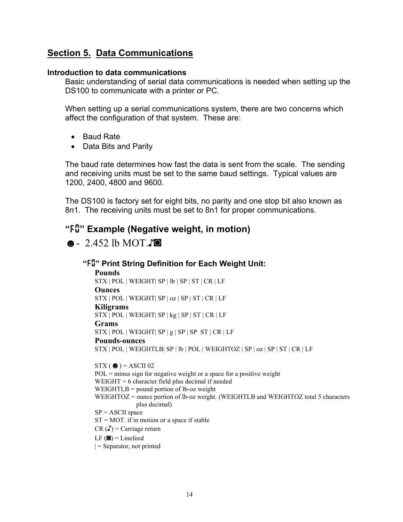# **Section 5. Data Communications**

#### **Introduction to data communications**

Basic understanding of serial data communications is needed when setting up the DS100 to communicate with a printer or PC.

When setting up a serial communications system, there are two concerns which affect the configuration of that system. These are:

- Baud Rate
- Data Bits and Parity

The baud rate determines how fast the data is sent from the scale. The sending and receiving units must be set to the same baud settings. Typical values are 1200, 2400, 4800 and 9600.

The DS100 is factory set for eight bits, no parity and one stop bit also known as 8n1. The receiving units must be set to 8n1 for proper communications.

# **"***F0***" Example (Negative weight, in motion)**

☻- 2.452 lb MOT.♪◙

```
"F0" Print String Definition for Each Weight Unit: 
 Pounds 
STX | POL | WEIGHT| SP | lb | SP | ST | CR | LF 
Ounces 
STX | POL | WEIGHT| SP | oz | SP | ST | CR | LF 
 Kiligrams 
STX | POL | WEIGHT| SP | kg | SP | ST | CR | LF 
Grams 
 STX | POL | WEIGHT | SP | g | SP | SP | ST | CR | LFPounds-ounces 
STX | POL | WEIGHTLB| SP | lb | POL | WEIGHTOZ | SP | oz | SP | ST | CR | LF 
STX (\bullet) = ASCII 02
POL = minus sign for negative weight or a space for a positive weightWEIGHT = 6 character field plus decimal if needed 
 WEIGHTLB = pound portion of lb-oz weight
```
WEIGHTOZ = ounce portion of lb-oz weight. (WEIGHTLB and WEIGHTOZ total 5 characters plus decimal)

 $SP = ASCII$  space

 $ST = MOT$ . if in motion or a space if stable

 $CR(\Gamma) = Carriage return$ 

 $LF$  ( $\blacksquare$ ) = Linefeed

 $|$  = Separator, not printed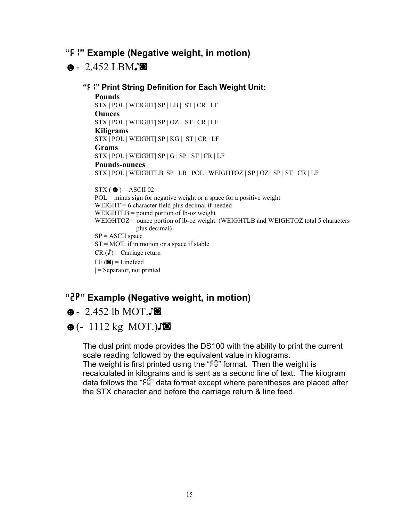### **"***F1***" Example (Negative weight, in motion)**

### ☻- 2.452 LBM♪◙

**"***F1***" Print String Definition for Each Weight Unit: Pounds**  STX | POL | WEIGHT| SP | LB | ST | CR | LF **Ounces**  STX | POL | WEIGHT| SP | OZ | ST | CR | LF **Kiligrams**  STX | POL | WEIGHT| SP | KG | ST | CR | LF **Grams**  STX | POL | WEIGHT| SP | G | SP | ST | CR | LF **Pounds-ounces**  STX | POL | WEIGHTLB| SP | LB | POL | WEIGHTOZ | SP | OZ | SP | ST | CR | LF  $STX$  ( $\bullet$ ) = ASCII 02  $POL = minus sign for negative weight or a space for a positive weight$ WEIGHT = 6 character field plus decimal if needed WEIGHTLB = pound portion of lb-oz weight WEIGHTOZ = ounce portion of lb-oz weight. (WEIGHTLB and WEIGHTOZ total 5 characters plus decimal)  $SP = ASCII$  space  $ST = MOT$ . if in motion or a space if stable  $CR(\Gamma)$  = Carriage return

 $LF$  ( $\blacksquare$ ) = Linefeed

 $|$  = Separator, not printed

# **"***2P***" Example (Negative weight, in motion)**

# ☻- 2.452 lb MOT.♪◙

# ☻(- 1112 kg MOT.)♪◙

The dual print mode provides the DS100 with the ability to print the current scale reading followed by the equivalent value in kilograms. The weight is first printed using the "*F0*" format. Then the weight is

recalculated in kilograms and is sent as a second line of text. The kilogram data follows the "*F0*" data format except where parentheses are placed after the STX character and before the carriage return & line feed.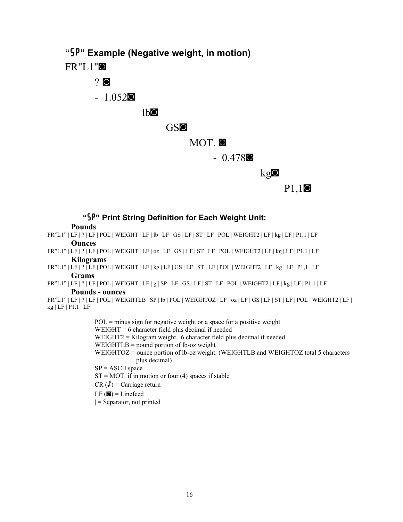**"***SP***" Example (Negative weight, in motion)** 

FR"L1"◙

# ? ◙

- 1.052◙

lb◙

### GS◙

MOT. ◙

- 0.478◙

 $kg<sub>o</sub>$ 

P1,1◙

### **"***SP***" Print String Definition for Each Weight Unit:**

**Pounds** 

- FR"L1" | LF | ? | LF | POL | WEIGHT | LF | lb | LF | GS | LF | ST | LF | POL | WEIGHT2 | LF | kg | LF | P1,1 | LF **Ounces**
- FR"L1" | LF | ? | LF | POL | WEIGHT | LF | oz | LF | GS | LF | ST | LF | POL | WEIGHT2 | LF | kg | LF | P1,1 | LF **Kilograms**
- FR"L1" | LF | ? | LF | POL | WEIGHT | LF | kg | LF | GS | LF | ST | LF | POL | WEIGHT2 | LF | kg | LF | P1,1 | LF **Grams**
- FR"L1" | LF | ? | LF | POL | WEIGHT | LF | g | SP | LF | GS | LF | ST | LF | POL | WEIGHT2 | LF | kg | LF | P1,1 | LF

#### **Pounds - ounces**

FR"L1" | LF | ? | LF | POL | WEIGHTLB | SP | lb | POL | WEIGHTOZ | LF | oz | LF | GS | LF | ST | LF | POL | WEIGHT2 | LF | kg | LF | P1,1 | LF

> $POL = minus sign for negative weight or a space for a positive weight$ WEIGHT = 6 character field plus decimal if needed WEIGHT2 = Kilogram weight. 6 character field plus decimal if needed WEIGHTLB = pound portion of lb-oz weight WEIGHTOZ = ounce portion of lb-oz weight. (WEIGHTLB and WEIGHTOZ total 5 characters plus decimal)  $SP = ASCII$  space  $ST = MOT$ . if in motion or four (4) spaces if stable  $CR(\Gamma) = Carriage return$  $LF$  ( $\blacksquare$ ) = Linefeed

 $|$  = Separator, not printed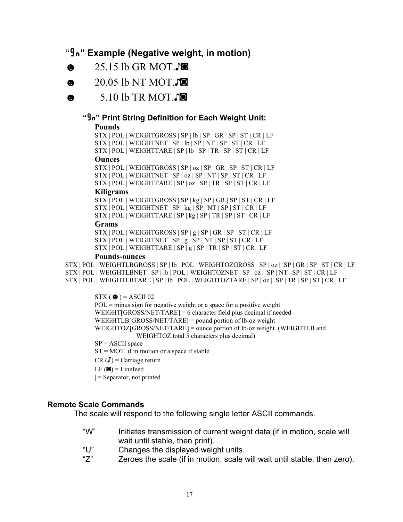# **"***Gn***" Example (Negative weight, in motion)**

- ☻ 25.15 lb GR MOT.♪◙
- ☻ 20.05 lb NT MOT.♪◙
- ☻ 5.10 lb TR MOT.♪◙

# **"***Gn***" Print String Definition for Each Weight Unit:**

#### **Pounds**

STX | POL | WEIGHTGROSS | SP | lb | SP | GR | SP | ST | CR | LF STX | POL | WEIGHTNET | SP | lb | SP | NT | SP | ST | CR | LF

STX | POL | WEIGHTTARE | SP | lb | SP | TR | SP | ST | CR | LF

#### **Ounces**

STX | POL | WEIGHTGROSS | SP | oz | SP | GR | SP | ST | CR | LF STX | POL | WEIGHTNET | SP | oz | SP | NT | SP | ST | CR | LF STX | POL | WEIGHTTARE | SP | oz | SP | TR | SP | ST | CR | LF

#### **Kiligrams**

STX | POL | WEIGHTGROSS | SP | kg | SP | GR | SP | ST | CR | LF STX | POL | WEIGHTNET | SP | kg | SP | NT | SP | ST | CR | LF

STX | POL | WEIGHTTARE | SP | kg | SP | TR | SP | ST | CR | LF

#### **Grams**

STX | POL | WEIGHTGROSS | SP | g | SP | GR | SP | ST | CR | LF STX | POL | WEIGHTNET | SP | g | SP | NT | SP | ST | CR | LF STX | POL | WEIGHTTARE | SP | g | SP | TR | SP | ST | CR | LF

#### **Pounds-ounces**

STX | POL | WEIGHTLBGROSS | SP | lb | POL | WEIGHTOZGROSS | SP | oz | SP | GR | SP | ST | CR | LF STX | POL | WEIGHTLBNET | SP | lb | POL | WEIGHTOZNET | SP | oz | SP | NT | SP | ST | CR | LF STX | POL | WEIGHTLBTARE | SP | lb | POL | WEIGHTOZTARE | SP | oz | SP | TR | SP | ST | CR | LF

 $STX$  ( $\bullet$ ) = ASCII 02  $POL = minus sign for negative weight or a space for a positive weight$ WEIGHT[GROSS/NET/TARE] =  $6$  character field plus decimal if needed WEIGHTLB[GROSS/NET/TARE] = pound portion of lb-oz weight WEIGHTOZ[GROSS/NET/TARE] = ounce portion of lb-oz weight. (WEIGHTLB and WEIGHTOZ total 5 characters plus decimal)  $SP = ASCII$  space  $ST = MOT$ . if in motion or a space if stable  $CR(\Gamma) = Carriage return$  $LF$  ( $\blacksquare$ ) = Linefeed  $|$  = Separator, not printed

#### **Remote Scale Commands**

The scale will respond to the following single letter ASCII commands.

- "W" Initiates transmission of current weight data (if in motion, scale will wait until stable, then print).
- "U" Changes the displayed weight units.
- "Z" Zeroes the scale (if in motion, scale will wait until stable, then zero).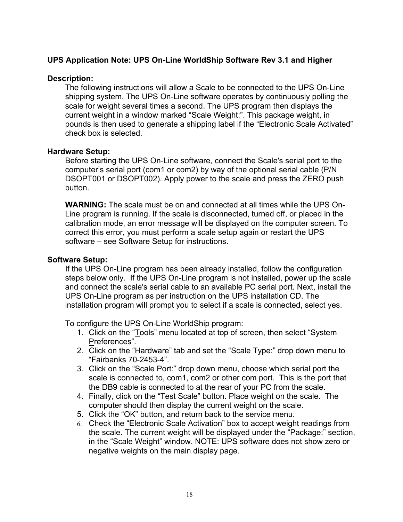### **UPS Application Note: UPS On-Line WorldShip Software Rev 3.1 and Higher**

#### **Description:**

The following instructions will allow a Scale to be connected to the UPS On-Line shipping system. The UPS On-Line software operates by continuously polling the scale for weight several times a second. The UPS program then displays the current weight in a window marked "Scale Weight:". This package weight, in pounds is then used to generate a shipping label if the "Electronic Scale Activated" check box is selected.

#### **Hardware Setup:**

Before starting the UPS On-Line software, connect the Scale's serial port to the computer's serial port (com1 or com2) by way of the optional serial cable (P/N DSOPT001 or DSOPT002). Apply power to the scale and press the ZERO push button.

**WARNING:** The scale must be on and connected at all times while the UPS On-Line program is running. If the scale is disconnected, turned off, or placed in the calibration mode, an error message will be displayed on the computer screen. To correct this error, you must perform a scale setup again or restart the UPS software – see Software Setup for instructions.

#### **Software Setup:**

If the UPS On-Line program has been already installed, follow the configuration steps below only. If the UPS On-Line program is not installed, power up the scale and connect the scale's serial cable to an available PC serial port. Next, install the UPS On-Line program as per instruction on the UPS installation CD. The installation program will prompt you to select if a scale is connected, select yes.

To configure the UPS On-Line WorldShip program:

- 1. Click on the "Tools" menu located at top of screen, then select "System Preferences".
- 2. Click on the "Hardware" tab and set the "Scale Type:" drop down menu to "Fairbanks 70-2453-4".
- 3. Click on the "Scale Port:" drop down menu, choose which serial port the scale is connected to, com1, com2 or other com port. This is the port that the DB9 cable is connected to at the rear of your PC from the scale.
- 4. Finally, click on the "Test Scale" button. Place weight on the scale. The computer should then display the current weight on the scale.
- 5. Click the "OK" button, and return back to the service menu.
- 6. Check the "Electronic Scale Activation" box to accept weight readings from the scale. The current weight will be displayed under the "Package:" section, in the "Scale Weight" window. NOTE: UPS software does not show zero or negative weights on the main display page.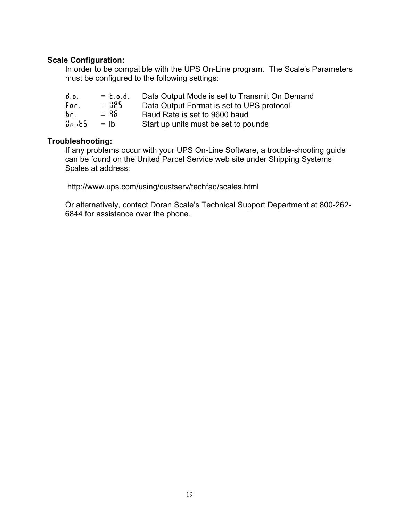### **Scale Configuration:**

In order to be compatible with the UPS On-Line program. The Scale's Parameters must be configured to the following settings:

| $\phi$ . $\phi$ . | $= 5.0.6.$ | Data Output Mode is set to Transmit On Demand |
|-------------------|------------|-----------------------------------------------|
| For,              | $=$ 885    | Data Output Format is set to UPS protocol     |
| Ъп.               | $= 96$     | Baud Rate is set to 9600 baud                 |
| Սուժ 5            | $=$ lb     | Start up units must be set to pounds          |

### **Troubleshooting:**

If any problems occur with your UPS On-Line Software, a trouble-shooting guide can be found on the United Parcel Service web site under Shipping Systems Scales at address:

http://www.ups.com/using/custserv/techfaq/scales.html

Or alternatively, contact Doran Scale's Technical Support Department at 800-262- 6844 for assistance over the phone.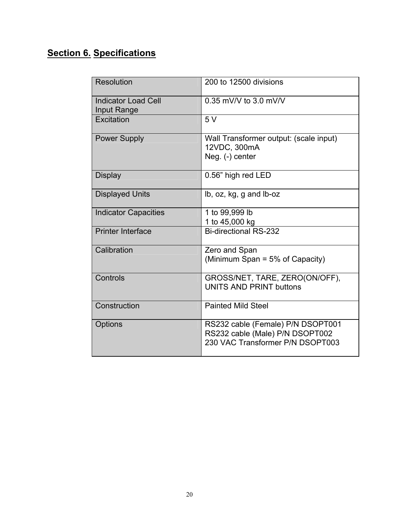# **Section 6. Specifications**

| <b>Resolution</b>                         | 200 to 12500 divisions                                                                                   |
|-------------------------------------------|----------------------------------------------------------------------------------------------------------|
| <b>Indicator Load Cell</b><br>Input Range | 0.35 mV/V to 3.0 mV/V                                                                                    |
| Excitation                                | 5V                                                                                                       |
| <b>Power Supply</b>                       | Wall Transformer output: (scale input)<br>12VDC, 300mA<br>Neg. (-) center                                |
| <b>Display</b>                            | 0.56" high red LED                                                                                       |
| <b>Displayed Units</b>                    | lb, oz, kg, g and lb-oz                                                                                  |
| <b>Indicator Capacities</b>               | 1 to 99,999 lb<br>1 to 45,000 kg                                                                         |
| <b>Printer Interface</b>                  | <b>Bi-directional RS-232</b>                                                                             |
| Calibration                               | Zero and Span<br>(Minimum Span = 5% of Capacity)                                                         |
| Controls                                  | GROSS/NET, TARE, ZERO(ON/OFF),<br>UNITS AND PRINT buttons                                                |
| Construction                              | <b>Painted Mild Steel</b>                                                                                |
| Options                                   | RS232 cable (Female) P/N DSOPT001<br>RS232 cable (Male) P/N DSOPT002<br>230 VAC Transformer P/N DSOPT003 |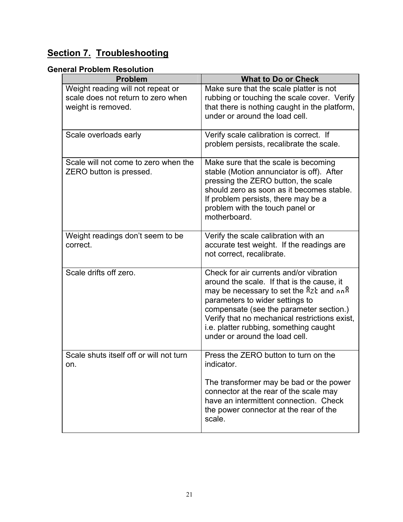# **Section 7. Troubleshooting**

### **General Problem Resolution**

| <b>Problem</b>                                                                                | <b>What to Do or Check</b>                                                                                                                                                                                                                                                                                                                  |
|-----------------------------------------------------------------------------------------------|---------------------------------------------------------------------------------------------------------------------------------------------------------------------------------------------------------------------------------------------------------------------------------------------------------------------------------------------|
| Weight reading will not repeat or<br>scale does not return to zero when<br>weight is removed. | Make sure that the scale platter is not<br>rubbing or touching the scale cover. Verify<br>that there is nothing caught in the platform,<br>under or around the load cell.                                                                                                                                                                   |
| Scale overloads early                                                                         | Verify scale calibration is correct. If<br>problem persists, recalibrate the scale.                                                                                                                                                                                                                                                         |
| Scale will not come to zero when the<br>ZERO button is pressed.                               | Make sure that the scale is becoming<br>stable (Motion annunciator is off). After<br>pressing the ZERO button, the scale<br>should zero as soon as it becomes stable.<br>If problem persists, there may be a<br>problem with the touch panel or<br>motherboard.                                                                             |
| Weight readings don't seem to be<br>correct.                                                  | Verify the scale calibration with an<br>accurate test weight. If the readings are<br>not correct, recalibrate.                                                                                                                                                                                                                              |
| Scale drifts off zero.                                                                        | Check for air currents and/or vibration<br>around the scale. If that is the cause, it<br>may be necessary to set the Rzt and nnR<br>parameters to wider settings to<br>compensate (see the parameter section.)<br>Verify that no mechanical restrictions exist,<br>i.e. platter rubbing, something caught<br>under or around the load cell. |
| Scale shuts itself off or will not turn<br>on.                                                | Press the ZERO button to turn on the<br>indicator.<br>The transformer may be bad or the power<br>connector at the rear of the scale may                                                                                                                                                                                                     |
|                                                                                               | have an intermittent connection. Check<br>the power connector at the rear of the<br>scale.                                                                                                                                                                                                                                                  |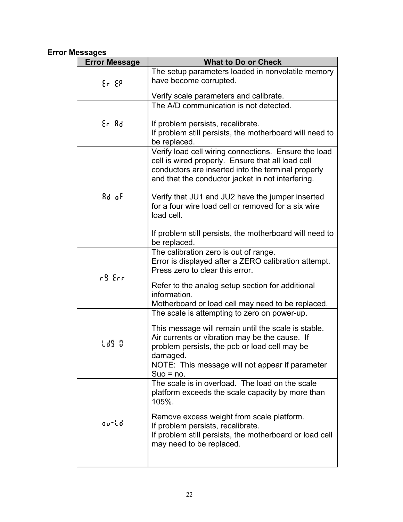### **Error Messages**

| <b>Error Message</b> | <b>What to Do or Check</b>                                                                                                                                                                                                            |
|----------------------|---------------------------------------------------------------------------------------------------------------------------------------------------------------------------------------------------------------------------------------|
|                      | The setup parameters loaded in nonvolatile memory                                                                                                                                                                                     |
| Er EP                | have become corrupted.                                                                                                                                                                                                                |
|                      | Verify scale parameters and calibrate.                                                                                                                                                                                                |
|                      | The A/D communication is not detected.                                                                                                                                                                                                |
| Er Ad                | If problem persists, recalibrate.<br>If problem still persists, the motherboard will need to<br>be replaced.                                                                                                                          |
|                      | Verify load cell wiring connections. Ensure the load<br>cell is wired properly. Ensure that all load cell<br>conductors are inserted into the terminal properly<br>and that the conductor jacket in not interfering.                  |
| Rd of                | Verify that JU1 and JU2 have the jumper inserted<br>for a four wire load cell or removed for a six wire<br>load cell.                                                                                                                 |
|                      | If problem still persists, the motherboard will need to<br>be replaced.                                                                                                                                                               |
|                      | The calibration zero is out of range.<br>Error is displayed after a ZERO calibration attempt.<br>Press zero to clear this error.                                                                                                      |
| r9 Err               | Refer to the analog setup section for additional<br>information.<br>Motherboard or load cell may need to be replaced.                                                                                                                 |
|                      | The scale is attempting to zero on power-up.                                                                                                                                                                                          |
| Ld9 0                | This message will remain until the scale is stable.<br>Air currents or vibration may be the cause. If<br>problem persists, the pcb or load cell may be<br>damaged.<br>NOTE: This message will not appear if parameter<br>$Suo = no$ . |
| outd                 | The scale is in overload. The load on the scale<br>platform exceeds the scale capacity by more than<br>105%.<br>Remove excess weight from scale platform.                                                                             |
|                      | If problem persists, recalibrate.<br>If problem still persists, the motherboard or load cell<br>may need to be replaced.                                                                                                              |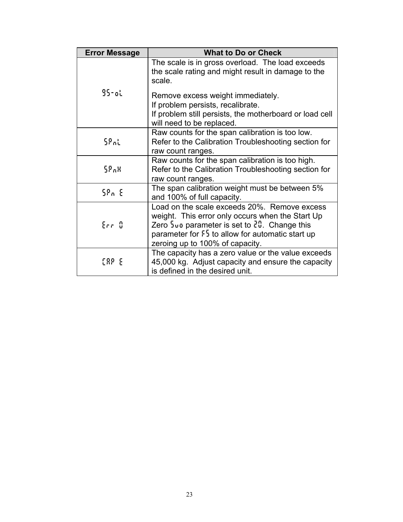| <b>Error Message</b> | <b>What to Do or Check</b>                                                                                       |
|----------------------|------------------------------------------------------------------------------------------------------------------|
|                      | The scale is in gross overload. The load exceeds<br>the scale rating and might result in damage to the<br>scale. |
| $95$ -ol             | Remove excess weight immediately.                                                                                |
|                      | If problem persists, recalibrate.                                                                                |
|                      | If problem still persists, the motherboard or load cell<br>will need to be replaced.                             |
|                      | Raw counts for the span calibration is too low.                                                                  |
| ՏԹու                 | Refer to the Calibration Troubleshooting section for<br>raw count ranges.                                        |
|                      | Raw counts for the span calibration is too high.                                                                 |
| 58.8                 | Refer to the Calibration Troubleshooting section for<br>raw count ranges.                                        |
| 58n E                | The span calibration weight must be between 5%<br>and 100% of full capacity.                                     |
|                      | Load on the scale exceeds 20%. Remove excess                                                                     |
|                      | weight. This error only occurs when the Start Up                                                                 |
| $E_{\rm eff}/3$      | Zero $\frac{1}{2}$ un parameter is set to $\frac{3}{2}$ . Change this                                            |
|                      | parameter for $5\frac{1}{2}$ to allow for automatic start up                                                     |
|                      | zeroing up to 100% of capacity.                                                                                  |
|                      | The capacity has a zero value or the value exceeds                                                               |
| EAP E                | 45,000 kg. Adjust capacity and ensure the capacity                                                               |
|                      | is defined in the desired unit.                                                                                  |